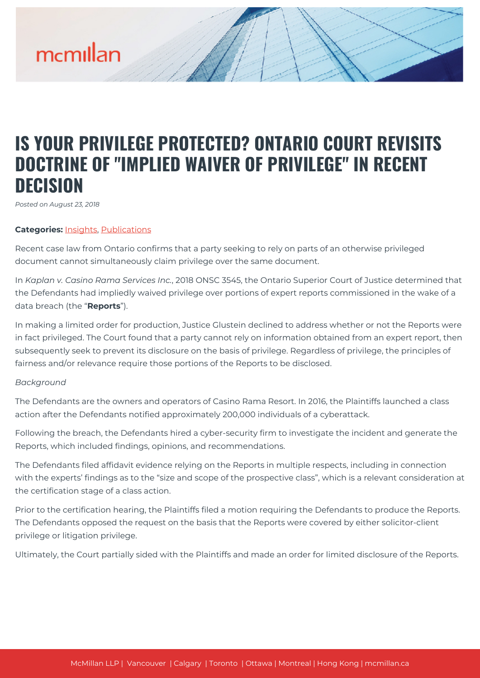# mcmillan

## **IS YOUR PRIVILEGE PROTECTED? ONTARIO COURT REVISITS DOCTRINE OF "IMPLIED WAIVER OF PRIVILEGE" IN RECENT DECISION**

*Posted on August 23, 2018*

### **Categories:** [Insights,](https://mcmillan.ca/insights/) [Publications](https://mcmillan.ca/insights/publications/)

Recent case law from Ontario confirms that a party seeking to rely on parts of an otherwise privileged document cannot simultaneously claim privilege over the same document.

In *Kaplan v. Casino Rama Services Inc.*, 2018 ONSC 3545, the Ontario Superior Court of Justice determined that the Defendants had impliedly waived privilege over portions of expert reports commissioned in the wake of a data breach (the "**Reports**").

In making a limited order for production, Justice Glustein declined to address whether or not the Reports were in fact privileged. The Court found that a party cannot rely on information obtained from an expert report, then subsequently seek to prevent its disclosure on the basis of privilege. Regardless of privilege, the principles of fairness and/or relevance require those portions of the Reports to be disclosed.

### *Background*

The Defendants are the owners and operators of Casino Rama Resort. In 2016, the Plaintiffs launched a class action after the Defendants notified approximately 200,000 individuals of a cyberattack.

Following the breach, the Defendants hired a cyber-security firm to investigate the incident and generate the Reports, which included findings, opinions, and recommendations.

The Defendants filed affidavit evidence relying on the Reports in multiple respects, including in connection with the experts' findings as to the "size and scope of the prospective class", which is a relevant consideration at the certification stage of a class action.

Prior to the certification hearing, the Plaintiffs filed a motion requiring the Defendants to produce the Reports. The Defendants opposed the request on the basis that the Reports were covered by either solicitor-client privilege or litigation privilege.

Ultimately, the Court partially sided with the Plaintiffs and made an order for limited disclosure of the Reports.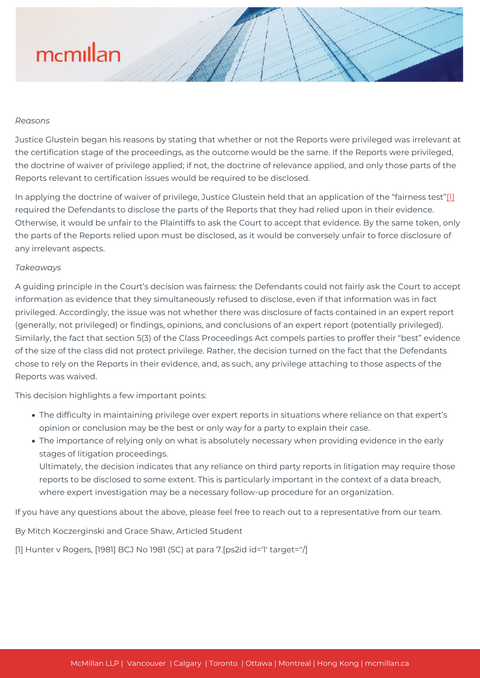# mcmillan

### *Reasons*

Justice Glustein began his reasons by stating that whether or not the Reports were privileged was irrelevant at the certification stage of the proceedings, as the outcome would be the same. If the Reports were privileged, the doctrine of waiver of privilege applied; if not, the doctrine of relevance applied, and only those parts of the Reports relevant to certification issues would be required to be disclosed.

In applying the doctrine of waiver of privilege, Justice Glustein held that an application of the "fairness test"[\[1\]](#page--1-0) required the Defendants to disclose the parts of the Reports that they had relied upon in their evidence. Otherwise, it would be unfair to the Plaintiffs to ask the Court to accept that evidence. By the same token, only the parts of the Reports relied upon must be disclosed, as it would be conversely unfair to force disclosure of any irrelevant aspects.

### *Takeaways*

A guiding principle in the Court's decision was fairness: the Defendants could not fairly ask the Court to accept information as evidence that they simultaneously refused to disclose, even if that information was in fact privileged. Accordingly, the issue was not whether there was disclosure of facts contained in an expert report (generally, not privileged) or findings, opinions, and conclusions of an expert report (potentially privileged). Similarly, the fact that section 5(3) of the Class Proceedings Act compels parties to proffer their "best" evidence of the size of the class did not protect privilege. Rather, the decision turned on the fact that the Defendants chose to rely on the Reports in their evidence, and, as such, any privilege attaching to those aspects of the Reports was waived.

This decision highlights a few important points:

- The difficulty in maintaining privilege over expert reports in situations where reliance on that expert's opinion or conclusion may be the best or only way for a party to explain their case.
- The importance of relying only on what is absolutely necessary when providing evidence in the early stages of litigation proceedings.

Ultimately, the decision indicates that any reliance on third party reports in litigation may require those reports to be disclosed to some extent. This is particularly important in the context of a data breach, where expert investigation may be a necessary follow-up procedure for an organization.

If you have any questions about the above, please feel free to reach out to a representative from our team.

By Mitch Koczerginski and Grace Shaw, Articled Student

[1] Hunter v Rogers, [1981] BCJ No 1981 (SC) at para 7.[ps2id id='1' target=''/]